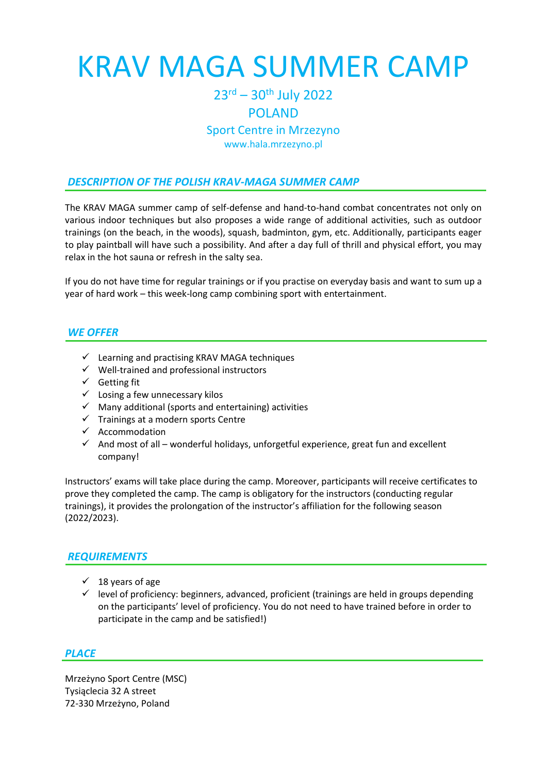# KRAV MAGA SUMMER CAMP

## 23rd – 30th July 2022

#### POLAND

#### Sport Centre in Mrzezyno www.hala.mrzezyno.pl

### *DESCRIPTION OF THE POLISH KRAV-MAGA SUMMER CAMP*

The KRAV MAGA summer camp of self-defense and hand-to-hand combat concentrates not only on various indoor techniques but also proposes a wide range of additional activities, such as outdoor trainings (on the beach, in the woods), squash, badminton, gym, etc. Additionally, participants eager to play paintball will have such a possibility. And after a day full of thrill and physical effort, you may relax in the hot sauna or refresh in the salty sea.

If you do not have time for regular trainings or if you practise on everyday basis and want to sum up a year of hard work – this week-long camp combining sport with entertainment.

#### *WE OFFER*

- ✓ Learning and practising KRAV MAGA techniques
- ✓ Well-trained and professional instructors
- ✓ Getting fit
- $\checkmark$  Losing a few unnecessary kilos
- $\checkmark$  Many additional (sports and entertaining) activities
- ✓ Trainings at a modern sports Centre
- ✓ Accommodation
- $\checkmark$  And most of all wonderful holidays, unforgetful experience, great fun and excellent company!

Instructors' exams will take place during the camp. Moreover, participants will receive certificates to prove they completed the camp. The camp is obligatory for the instructors (conducting regular trainings), it provides the prolongation of the instructor's affiliation for the following season (2022/2023).

#### *REQUIREMENTS*

- $\checkmark$  18 years of age
- $\checkmark$  level of proficiency: beginners, advanced, proficient (trainings are held in groups depending on the participants' level of proficiency. You do not need to have trained before in order to participate in the camp and be satisfied!)

#### *PLACE*

Mrzeżyno Sport Centre (MSC) Tysiąclecia 32 A street 72-330 Mrzeżyno, Poland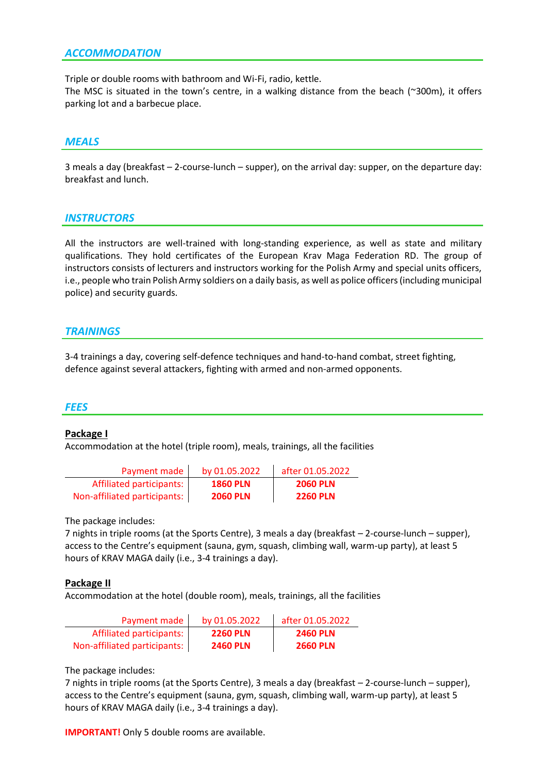#### *ACCOMMODATION*

Triple or double rooms with bathroom and Wi-Fi, radio, kettle.

The MSC is situated in the town's centre, in a walking distance from the beach (~300m), it offers parking lot and a barbecue place.

#### *MEALS*

3 meals a day (breakfast – 2-course-lunch – supper), on the arrival day: supper, on the departure day: breakfast and lunch.

#### *INSTRUCTORS*

All the instructors are well-trained with long-standing experience, as well as state and military qualifications. They hold certificates of the European Krav Maga Federation RD. The group of instructors consists of lecturers and instructors working for the Polish Army and special units officers, i.e., people who train Polish Army soldiers on a daily basis, as well as police officers (including municipal police) and security guards.

#### *TRAININGS*

3-4 trainings a day, covering self-defence techniques and hand-to-hand combat, street fighting, defence against several attackers, fighting with armed and non-armed opponents.

#### *FEES*

#### **Package I**

Accommodation at the hotel (triple room), meals, trainings, all the facilities

| Payment made                 | by 01.05.2022   | after 01.05.2022 |
|------------------------------|-----------------|------------------|
| Affiliated participants:     | <b>1860 PLN</b> | <b>2060 PLN</b>  |
| Non-affiliated participants: | <b>2060 PLN</b> | <b>2260 PLN</b>  |

The package includes:

7 nights in triple rooms (at the Sports Centre), 3 meals a day (breakfast – 2-course-lunch – supper), access to the Centre's equipment (sauna, gym, squash, climbing wall, warm-up party), at least 5 hours of KRAV MAGA daily (i.e., 3-4 trainings a day).

#### **Package II**

Accommodation at the hotel (double room), meals, trainings, all the facilities

| Payment made                 | by 01.05.2022   | after 01.05.2022 |
|------------------------------|-----------------|------------------|
| Affiliated participants:     | <b>2260 PLN</b> | <b>2460 PLN</b>  |
| Non-affiliated participants: | <b>2460 PLN</b> | <b>2660 PLN</b>  |

The package includes:

7 nights in triple rooms (at the Sports Centre), 3 meals a day (breakfast – 2-course-lunch – supper), access to the Centre's equipment (sauna, gym, squash, climbing wall, warm-up party), at least 5 hours of KRAV MAGA daily (i.e., 3-4 trainings a day).

**IMPORTANT!** Only 5 double rooms are available.